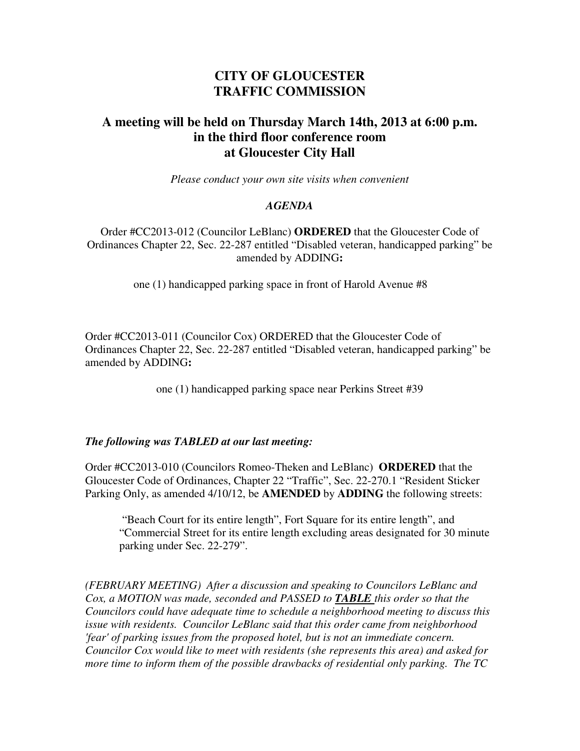## **CITY OF GLOUCESTER TRAFFIC COMMISSION**

## **A meeting will be held on Thursday March 14th, 2013 at 6:00 p.m. in the third floor conference room at Gloucester City Hall**

*Please conduct your own site visits when convenient*

## *AGENDA*

Order #CC2013-012 (Councilor LeBlanc) **ORDERED** that the Gloucester Code of Ordinances Chapter 22, Sec. 22-287 entitled "Disabled veteran, handicapped parking" be amended by ADDING**:**

one (1) handicapped parking space in front of Harold Avenue #8

Order #CC2013-011 (Councilor Cox) ORDERED that the Gloucester Code of Ordinances Chapter 22, Sec. 22-287 entitled "Disabled veteran, handicapped parking" be amended by ADDING**:**

one (1) handicapped parking space near Perkins Street #39

## *The following was TABLED at our last meeting:*

Order #CC2013-010 (Councilors Romeo-Theken and LeBlanc) **ORDERED** that the Gloucester Code of Ordinances, Chapter 22 "Traffic", Sec. 22-270.1 "Resident Sticker Parking Only, as amended 4/10/12, be **AMENDED** by **ADDING** the following streets:

 "Beach Court for its entire length", Fort Square for its entire length", and "Commercial Street for its entire length excluding areas designated for 30 minute parking under Sec. 22-279".

*(FEBRUARY MEETING) After a discussion and speaking to Councilors LeBlanc and Cox, a MOTION was made, seconded and PASSED to TABLE this order so that the Councilors could have adequate time to schedule a neighborhood meeting to discuss this issue with residents. Councilor LeBlanc said that this order came from neighborhood 'fear' of parking issues from the proposed hotel, but is not an immediate concern. Councilor Cox would like to meet with residents (she represents this area) and asked for more time to inform them of the possible drawbacks of residential only parking. The TC*